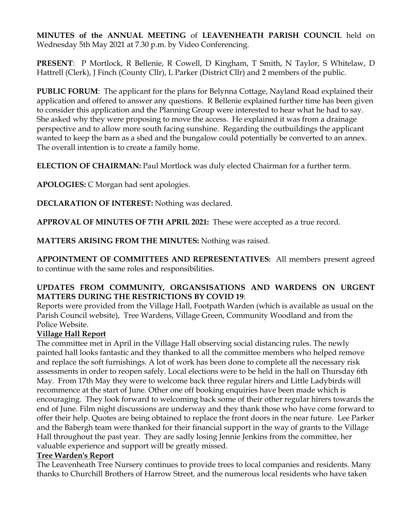**MINUTES of the ANNUAL MEETING** of **LEAVENHEATH PARISH COUNCIL** held on Wednesday 5th May 2021 at 7.30 p.m. by Video Conferencing.

**PRESENT**: P Mortlock, R Bellenie, R Cowell, D Kingham, T Smith, N Taylor, S Whitelaw, D Hattrell (Clerk), J Finch (County Cllr), L Parker (District Cllr) and 2 members of the public.

**PUBLIC FORUM**: The applicant for the plans for Belynna Cottage, Nayland Road explained their application and offered to answer any questions. R Bellenie explained further time has been given to consider this application and the Planning Group were interested to hear what he had to say. She asked why they were proposing to move the access. He explained it was from a drainage perspective and to allow more south facing sunshine. Regarding the outbuildings the applicant wanted to keep the barn as a shed and the bungalow could potentially be converted to an annex. The overall intention is to create a family home.

**ELECTION OF CHAIRMAN:** Paul Mortlock was duly elected Chairman for a further term.

**APOLOGIES:** C Morgan had sent apologies.

**DECLARATION OF INTEREST:** Nothing was declared.

**APPROVAL OF MINUTES OF 7TH APRIL 2021:** These were accepted as a true record.

**MATTERS ARISING FROM THE MINUTES:** Nothing was raised.

**APPOINTMENT OF COMMITTEES AND REPRESENTATIVES:** All members present agreed to continue with the same roles and responsibilities.

#### **UPDATES FROM COMMUNITY, ORGANSISATIONS AND WARDENS ON URGENT MATTERS DURING THE RESTRICTIONS BY COVID 19**:

Reports were provided from the Village Hall, Footpath Warden (which is available as usual on the Parish Council website), Tree Wardens, Village Green, Community Woodland and from the Police Website.

# **Village Hall Report**

The committee met in April in the Village Hall observing social distancing rules. The newly painted hall looks fantastic and they thanked to all the committee members who helped remove and replace the soft furnishings. A lot of work has been done to complete all the necessary risk assessments in order to reopen safely. Local elections were to be held in the hall on Thursday 6th May. From 17th May they were to welcome back three regular hirers and Little Ladybirds will recommence at the start of June. Other one off booking enquiries have been made which is encouraging. They look forward to welcoming back some of their other regular hirers towards the end of June. Film night discussions are underway and they thank those who have come forward to offer their help. Quotes are being obtained to replace the front doors in the near future. Lee Parker and the Babergh team were thanked for their financial support in the way of grants to the Village Hall throughout the past year. They are sadly losing Jennie Jenkins from the committee, her valuable experience and support will be greatly missed.

#### **Tree Warden's Report**

The Leavenheath Tree Nursery continues to provide trees to local companies and residents. Many thanks to Churchill Brothers of Harrow Street, and the numerous local residents who have taken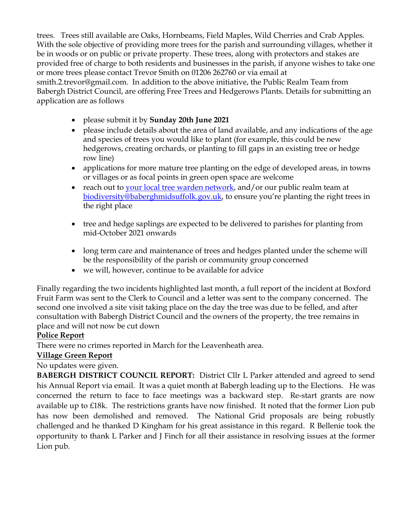trees. Trees still available are Oaks, Hornbeams, Field Maples, Wild Cherries and Crab Apples. With the sole objective of providing more trees for the parish and surrounding villages, whether it be in woods or on public or private property. These trees, along with protectors and stakes are provided free of charge to both residents and businesses in the parish, if anyone wishes to take one or more trees please contact Trevor Smith on 01206 262760 or via email at smith.2.trevor@gmail.com. In addition to the above initiative, the Public Realm Team from Babergh District Council, are offering Free Trees and Hedgerows Plants. Details for submitting an application are as follows

- please submit it by **Sunday 20th June 2021**
- please include details about the area of land available, and any indications of the age and species of trees you would like to plant (for example, this could be new hedgerows, creating orchards, or planting to fill gaps in an existing tree or hedge row line)
- applications for more mature tree planting on the edge of developed areas, in towns or villages or as focal points in green open space are welcome
- reach out to your local tree warden network, and/or our public realm team at biodiversity@baberghmidsuffolk.gov.uk, to ensure you're planting the right trees in the right place
- tree and hedge saplings are expected to be delivered to parishes for planting from mid-October 2021 onwards
- long term care and maintenance of trees and hedges planted under the scheme will be the responsibility of the parish or community group concerned
- we will, however, continue to be available for advice

Finally regarding the two incidents highlighted last month, a full report of the incident at Boxford Fruit Farm was sent to the Clerk to Council and a letter was sent to the company concerned. The second one involved a site visit taking place on the day the tree was due to be felled, and after consultation with Babergh District Council and the owners of the property, the tree remains in place and will not now be cut down

# **Police Report**

There were no crimes reported in March for the Leavenheath area.

# **Village Green Report**

No updates were given.

**BABERGH DISTRICT COUNCIL REPORT:** District Cllr L Parker attended and agreed to send his Annual Report via email. It was a quiet month at Babergh leading up to the Elections. He was concerned the return to face to face meetings was a backward step. Re-start grants are now available up to £18k. The restrictions grants have now finished. It noted that the former Lion pub has now been demolished and removed. The National Grid proposals are being robustly challenged and he thanked D Kingham for his great assistance in this regard. R Bellenie took the opportunity to thank L Parker and J Finch for all their assistance in resolving issues at the former Lion pub.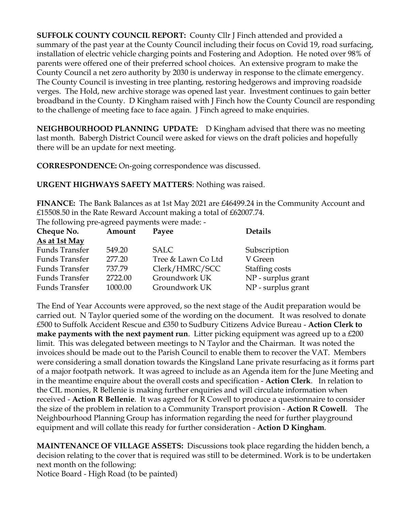**SUFFOLK COUNTY COUNCIL REPORT:** County Cllr J Finch attended and provided a summary of the past year at the County Council including their focus on Covid 19, road surfacing, installation of electric vehicle charging points and Fostering and Adoption. He noted over 98% of parents were offered one of their preferred school choices. An extensive program to make the County Council a net zero authority by 2030 is underway in response to the climate emergency. The County Council is investing in tree planting, restoring hedgerows and improving roadside verges. The Hold, new archive storage was opened last year. Investment continues to gain better broadband in the County. D Kingham raised with J Finch how the County Council are responding to the challenge of meeting face to face again. J Finch agreed to make enquiries.

**NEIGHBOURHOOD PLANNING UPDATE:** D Kingham advised that there was no meeting last month. Babergh District Council were asked for views on the draft policies and hopefully there will be an update for next meeting.

**CORRESPONDENCE:** On-going correspondence was discussed.

**URGENT HIGHWAYS SAFETY MATTERS**: Nothing was raised.

**FINANCE:** The Bank Balances as at 1st May 2021 are £46499.24 in the Community Account and £15508.50 in the Rate Reward Account making a total of £62007.74.

The following pre-agreed payments were made: -

| Cheque No.            | Amount  | Payee              | <b>Details</b>     |
|-----------------------|---------|--------------------|--------------------|
| As at 1st May         |         |                    |                    |
| <b>Funds Transfer</b> | 549.20  | <b>SALC</b>        | Subscription       |
| Funds Transfer        | 277.20  | Tree & Lawn Co Ltd | V Green            |
| Funds Transfer        | 737.79  | Clerk/HMRC/SCC     | Staffing costs     |
| <b>Funds Transfer</b> | 2722.00 | Groundwork UK      | NP - surplus grant |
| Funds Transfer        | 1000.00 | Groundwork UK      | NP - surplus grant |

The End of Year Accounts were approved, so the next stage of the Audit preparation would be carried out. N Taylor queried some of the wording on the document. It was resolved to donate £500 to Suffolk Accident Rescue and £350 to Sudbury Citizens Advice Bureau - **Action Clerk to make payments with the next payment run**. Litter picking equipment was agreed up to a £200 limit. This was delegated between meetings to N Taylor and the Chairman. It was noted the invoices should be made out to the Parish Council to enable them to recover the VAT. Members were considering a small donation towards the Kingsland Lane private resurfacing as it forms part of a major footpath network. It was agreed to include as an Agenda item for the June Meeting and in the meantime enquire about the overall costs and specification - **Action Clerk**. In relation to the CIL monies, R Bellenie is making further enquiries and will circulate information when received - **Action R Bellenie**. It was agreed for R Cowell to produce a questionnaire to consider the size of the problem in relation to a Community Transport provision - **Action R Cowell**. The Neighbourhood Planning Group has information regarding the need for further playground equipment and will collate this ready for further consideration - **Action D Kingham**.

**MAINTENANCE OF VILLAGE ASSETS:** Discussions took place regarding the hidden bench, a decision relating to the cover that is required was still to be determined. Work is to be undertaken next month on the following:

Notice Board - High Road (to be painted)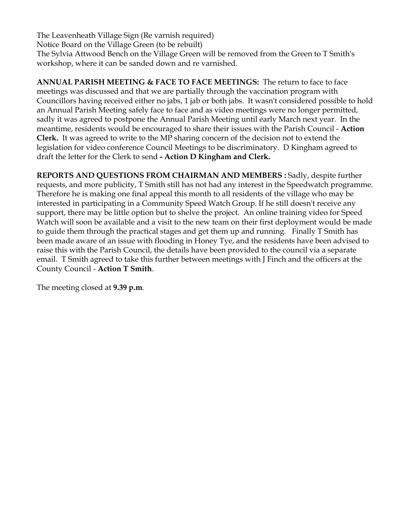The Leavenheath Village Sign (Re varnish required) Notice Board on the Village Green (to be rebuilt) The Sylvia Attwood Bench on the Village Green will be removed from the Green to T Smith's workshop, where it can be sanded down and re varnished.

**ANNUAL PARISH MEETING & FACE TO FACE MEETINGS:** The return to face to face meetings was discussed and that we are partially through the vaccination program with Councillors having received either no jabs, 1 jab or both jabs. It wasn't considered possible to hold an Annual Parish Meeting safely face to face and as video meetings were no longer permitted, sadly it was agreed to postpone the Annual Parish Meeting until early March next year. In the meantime, residents would be encouraged to share their issues with the Parish Council - **Action Clerk.** It was agreed to write to the MP sharing concern of the decision not to extend the legislation for video conference Council Meetings to be discriminatory. D Kingham agreed to draft the letter for the Clerk to send **- Action D Kingham and Clerk.** 

**REPORTS AND QUESTIONS FROM CHAIRMAN AND MEMBERS :** Sadly, despite further requests, and more publicity, T Smith still has not had any interest in the Speedwatch programme. Therefore he is making one final appeal this month to all residents of the village who may be interested in participating in a Community Speed Watch Group. If he still doesn't receive any support, there may be little option but to shelve the project. An online training video for Speed Watch will soon be available and a visit to the new team on their first deployment would be made to guide them through the practical stages and get them up and running. Finally T Smith has been made aware of an issue with flooding in Honey Tye, and the residents have been advised to raise this with the Parish Council, the details have been provided to the council via a separate email. T Smith agreed to take this further between meetings with J Finch and the officers at the County Council - **Action T Smith**.

The meeting closed at **9.39 p.m**.